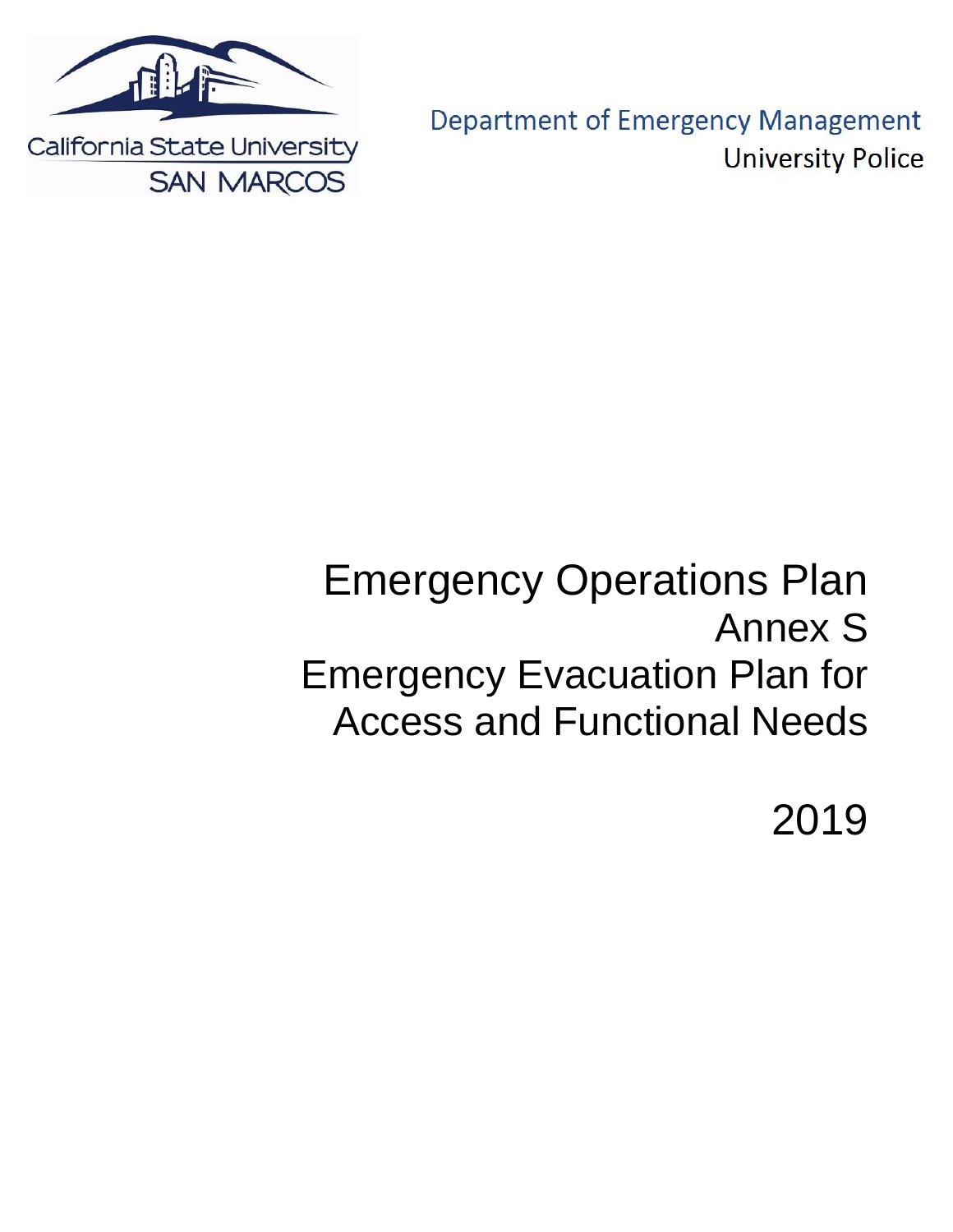

**Department of Emergency Management University Police** 

# Emergency Operations Plan Annex S Emergency Evacuation Plan for Access and Functional Needs

2019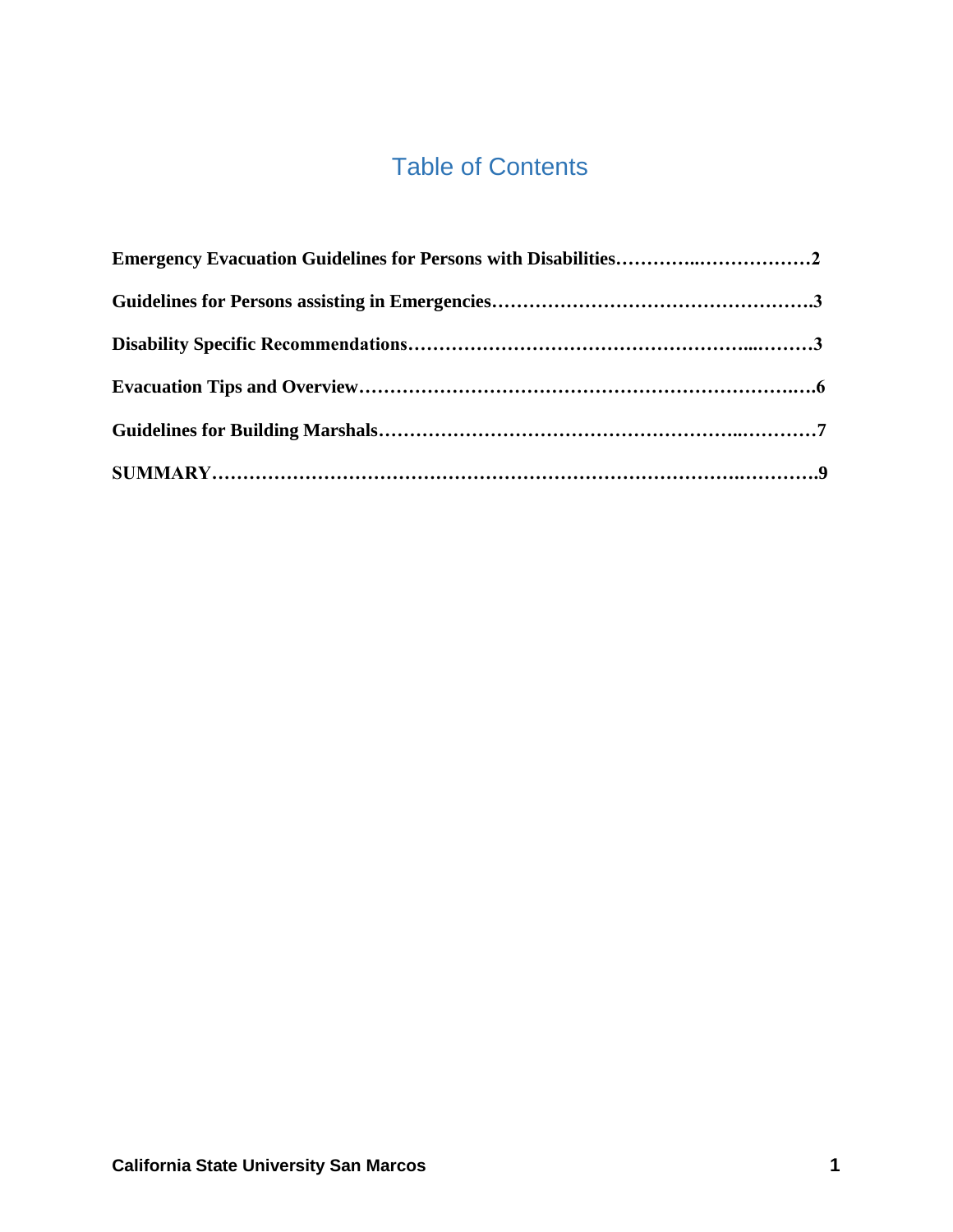## Table of Contents

| Emergency Evacuation Guidelines for Persons with Disabilities2 |  |
|----------------------------------------------------------------|--|
|                                                                |  |
|                                                                |  |
|                                                                |  |
|                                                                |  |
|                                                                |  |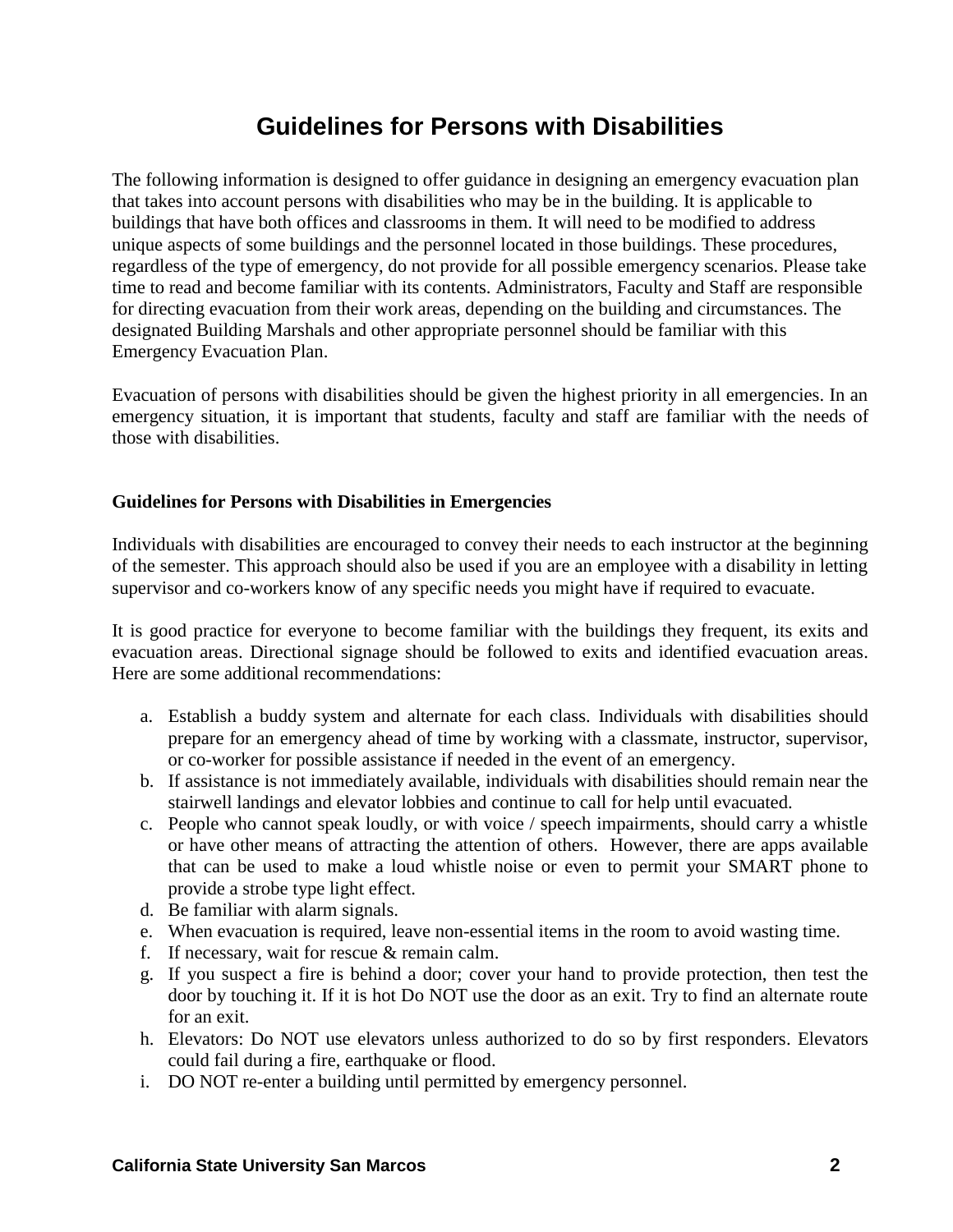### **Guidelines for Persons with Disabilities**

The following information is designed to offer guidance in designing an emergency evacuation plan that takes into account persons with disabilities who may be in the building. It is applicable to buildings that have both offices and classrooms in them. It will need to be modified to address unique aspects of some buildings and the personnel located in those buildings. These procedures, regardless of the type of emergency, do not provide for all possible emergency scenarios. Please take time to read and become familiar with its contents. Administrators, Faculty and Staff are responsible for directing evacuation from their work areas, depending on the building and circumstances. The designated Building Marshals and other appropriate personnel should be familiar with this Emergency Evacuation Plan.

Evacuation of persons with disabilities should be given the highest priority in all emergencies. In an emergency situation, it is important that students, faculty and staff are familiar with the needs of those with disabilities.

#### **Guidelines for Persons with Disabilities in Emergencies**

Individuals with disabilities are encouraged to convey their needs to each instructor at the beginning of the semester. This approach should also be used if you are an employee with a disability in letting supervisor and co-workers know of any specific needs you might have if required to evacuate.

It is good practice for everyone to become familiar with the buildings they frequent, its exits and evacuation areas. Directional signage should be followed to exits and identified evacuation areas. Here are some additional recommendations:

- a. Establish a buddy system and alternate for each class. Individuals with disabilities should prepare for an emergency ahead of time by working with a classmate, instructor, supervisor, or co-worker for possible assistance if needed in the event of an emergency.
- b. If assistance is not immediately available, individuals with disabilities should remain near the stairwell landings and elevator lobbies and continue to call for help until evacuated.
- c. People who cannot speak loudly, or with voice / speech impairments, should carry a whistle or have other means of attracting the attention of others. However, there are apps available that can be used to make a loud whistle noise or even to permit your SMART phone to provide a strobe type light effect.
- d. Be familiar with alarm signals.
- e. When evacuation is required, leave non-essential items in the room to avoid wasting time.
- f. If necessary, wait for rescue  $&$  remain calm.
- g. If you suspect a fire is behind a door; cover your hand to provide protection, then test the door by touching it. If it is hot Do NOT use the door as an exit. Try to find an alternate route for an exit.
- h. Elevators: Do NOT use elevators unless authorized to do so by first responders. Elevators could fail during a fire, earthquake or flood.
- i. DO NOT re-enter a building until permitted by emergency personnel.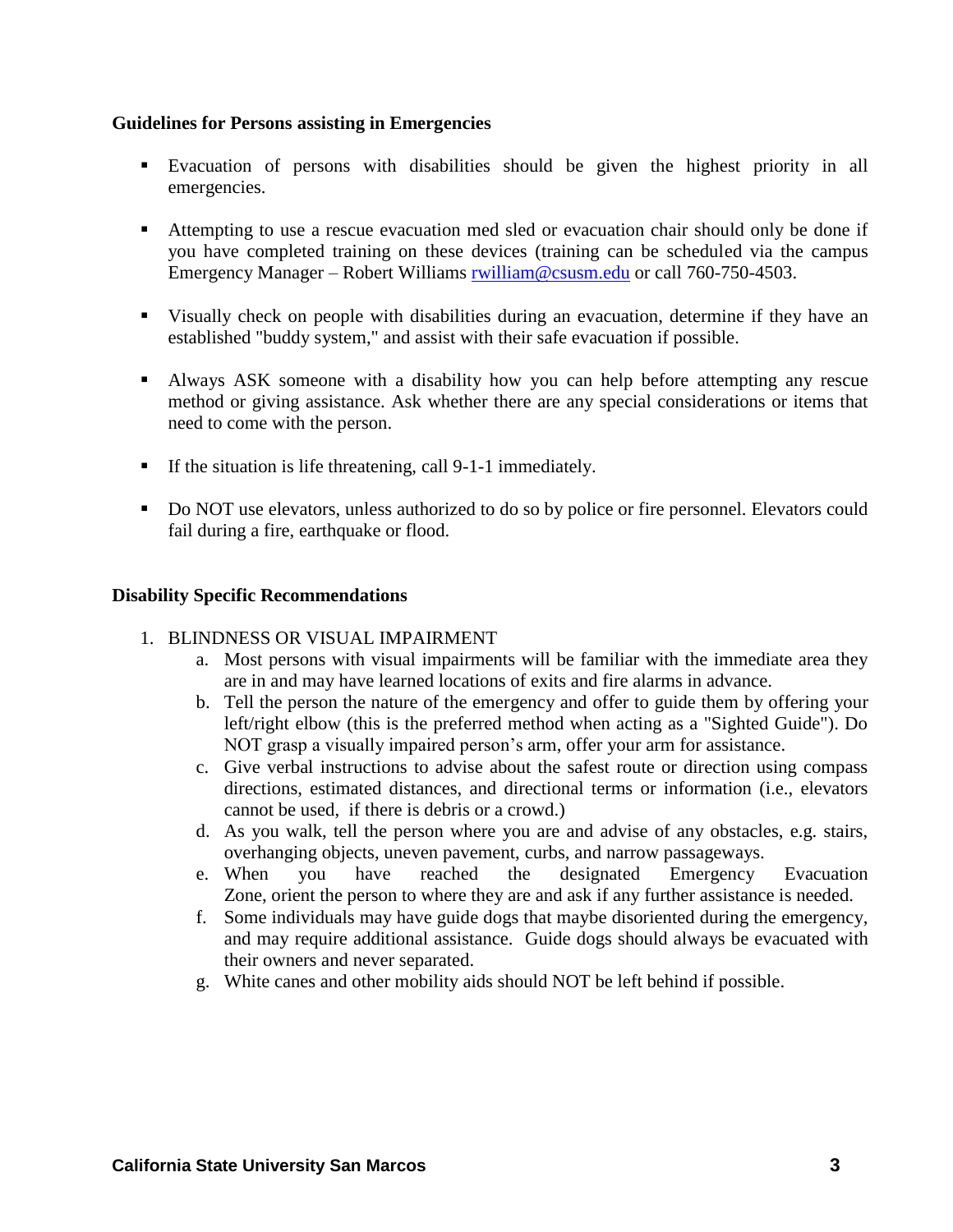#### **Guidelines for Persons assisting in Emergencies**

- Evacuation of persons with disabilities should be given the highest priority in all emergencies.
- Attempting to use a rescue evacuation med sled or evacuation chair should only be done if you have completed training on these devices (training can be scheduled via the campus Emergency Manager – Robert Williams [rwilliam@csusm.edu](mailto:rwilliam@csusm.edu) or call 760-750-4503.
- Visually check on people with disabilities during an evacuation, determine if they have an established "buddy system," and assist with their safe evacuation if possible.
- Always ASK someone with a disability how you can help before attempting any rescue method or giving assistance. Ask whether there are any special considerations or items that need to come with the person.
- If the situation is life threatening, call  $9-1-1$  immediately.
- Do NOT use elevators, unless authorized to do so by police or fire personnel. Elevators could fail during a fire, earthquake or flood.

#### **Disability Specific Recommendations**

#### 1. BLINDNESS OR VISUAL IMPAIRMENT

- a. Most persons with visual impairments will be familiar with the immediate area they are in and may have learned locations of exits and fire alarms in advance.
- b. Tell the person the nature of the emergency and offer to guide them by offering your left/right elbow (this is the preferred method when acting as a "Sighted Guide"). Do NOT grasp a visually impaired person's arm, offer your arm for assistance.
- c. Give verbal instructions to advise about the safest route or direction using compass directions, estimated distances, and directional terms or information (i.e., elevators cannot be used, if there is debris or a crowd.)
- d. As you walk, tell the person where you are and advise of any obstacles, e.g. stairs, overhanging objects, uneven pavement, curbs, and narrow passageways.
- e. When you have reached the designated Emergency Evacuation Zone, orient the person to where they are and ask if any further assistance is needed.
- f. Some individuals may have guide dogs that maybe disoriented during the emergency, and may require additional assistance. Guide dogs should always be evacuated with their owners and never separated.
- g. White canes and other mobility aids should NOT be left behind if possible.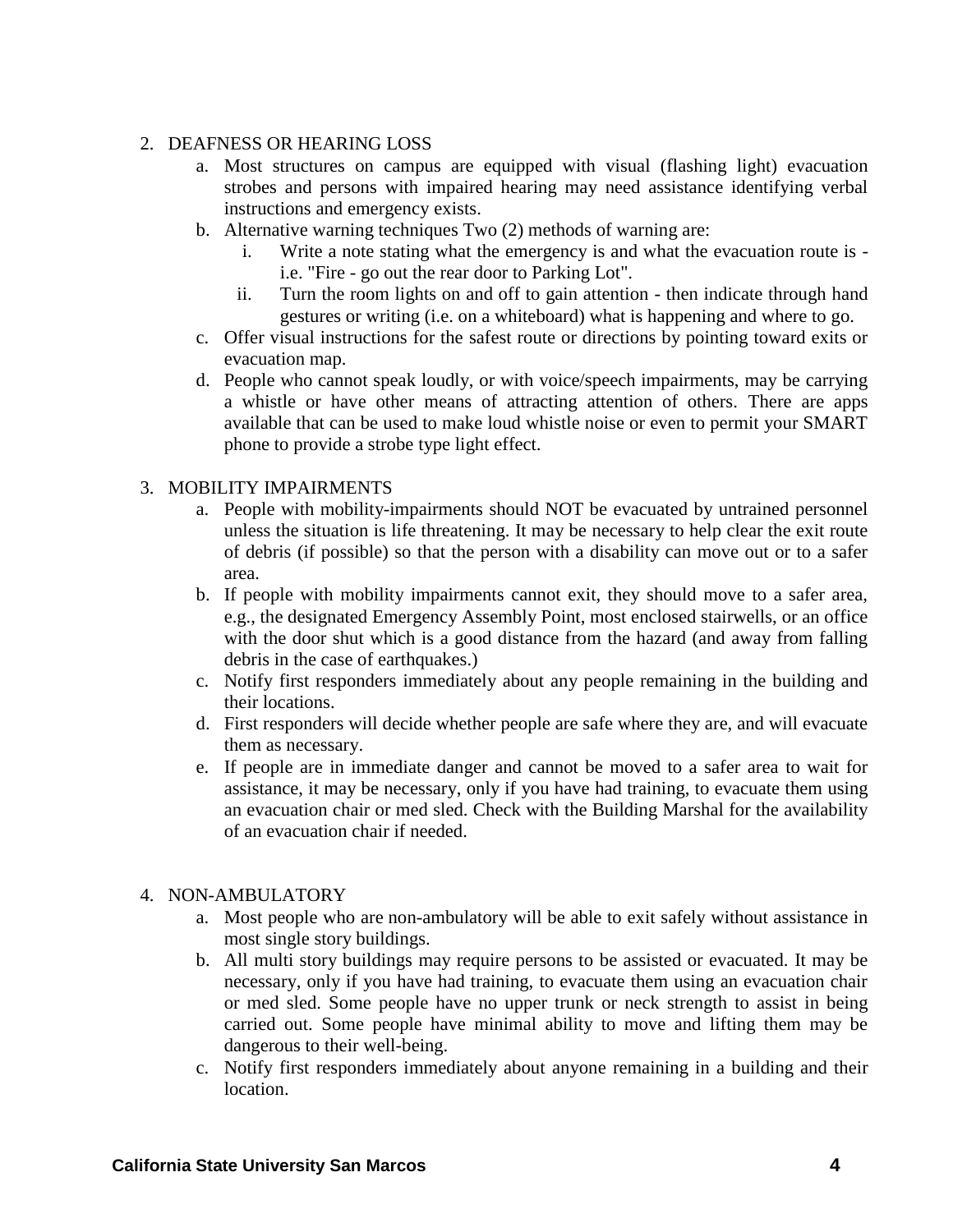#### 2. DEAFNESS OR HEARING LOSS

- a. Most structures on campus are equipped with visual (flashing light) evacuation strobes and persons with impaired hearing may need assistance identifying verbal instructions and emergency exists.
- b. Alternative warning techniques Two (2) methods of warning are:
	- i. Write a note stating what the emergency is and what the evacuation route is i.e. "Fire - go out the rear door to Parking Lot".
	- ii. Turn the room lights on and off to gain attention then indicate through hand gestures or writing (i.e. on a whiteboard) what is happening and where to go.
- c. Offer visual instructions for the safest route or directions by pointing toward exits or evacuation map.
- d. People who cannot speak loudly, or with voice/speech impairments, may be carrying a whistle or have other means of attracting attention of others. There are apps available that can be used to make loud whistle noise or even to permit your SMART phone to provide a strobe type light effect.

#### 3. MOBILITY IMPAIRMENTS

- a. People with mobility-impairments should NOT be evacuated by untrained personnel unless the situation is life threatening. It may be necessary to help clear the exit route of debris (if possible) so that the person with a disability can move out or to a safer area.
- b. If people with mobility impairments cannot exit, they should move to a safer area, e.g., the designated Emergency Assembly Point, most enclosed stairwells, or an office with the door shut which is a good distance from the hazard (and away from falling debris in the case of earthquakes.)
- c. Notify first responders immediately about any people remaining in the building and their locations.
- d. First responders will decide whether people are safe where they are, and will evacuate them as necessary.
- e. If people are in immediate danger and cannot be moved to a safer area to wait for assistance, it may be necessary, only if you have had training, to evacuate them using an evacuation chair or med sled. Check with the Building Marshal for the availability of an evacuation chair if needed.

#### 4. NON-AMBULATORY

- a. Most people who are non-ambulatory will be able to exit safely without assistance in most single story buildings.
- b. All multi story buildings may require persons to be assisted or evacuated. It may be necessary, only if you have had training, to evacuate them using an evacuation chair or med sled. Some people have no upper trunk or neck strength to assist in being carried out. Some people have minimal ability to move and lifting them may be dangerous to their well-being.
- c. Notify first responders immediately about anyone remaining in a building and their location.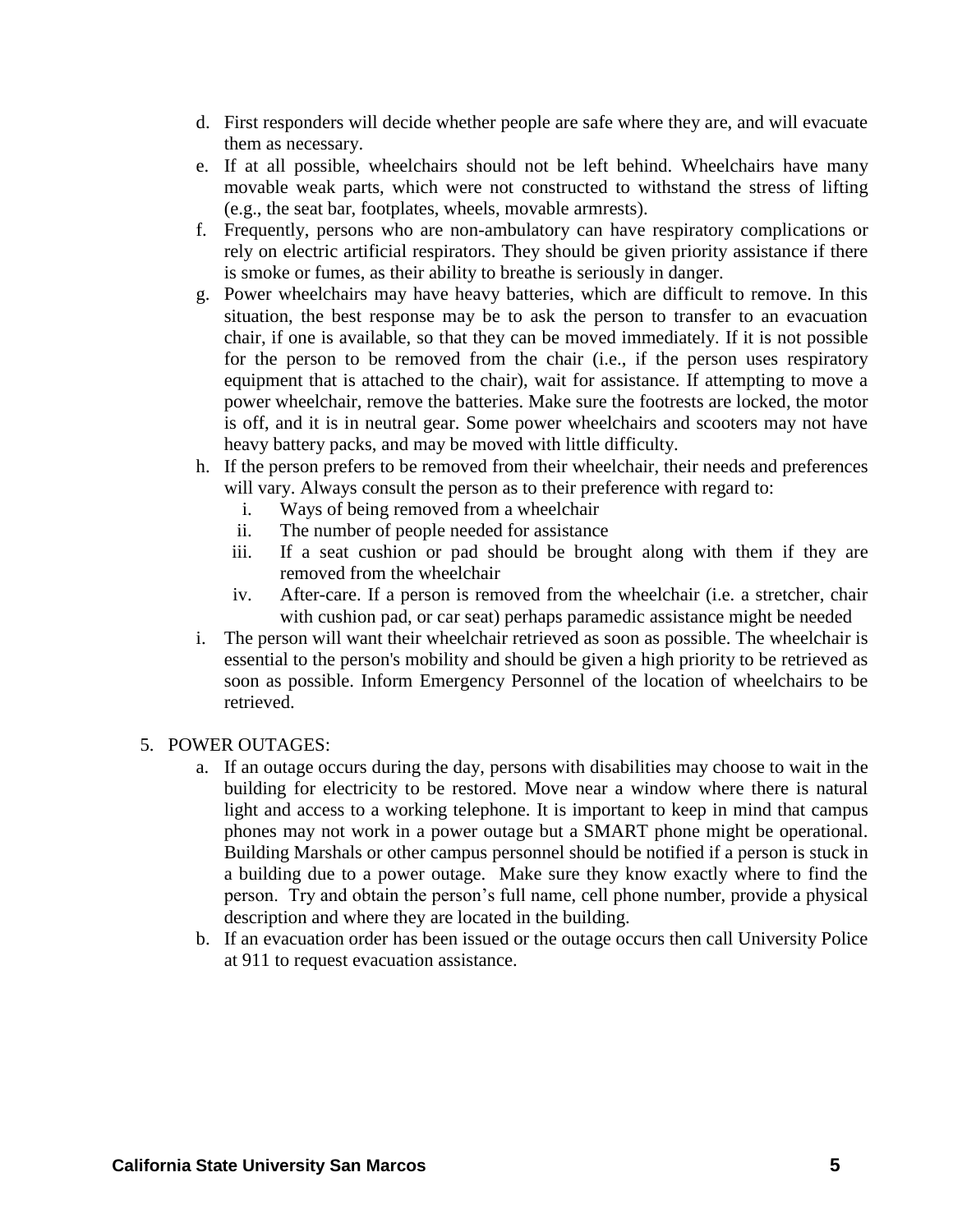- d. First responders will decide whether people are safe where they are, and will evacuate them as necessary.
- e. If at all possible, wheelchairs should not be left behind. Wheelchairs have many movable weak parts, which were not constructed to withstand the stress of lifting (e.g., the seat bar, footplates, wheels, movable armrests).
- f. Frequently, persons who are non-ambulatory can have respiratory complications or rely on electric artificial respirators. They should be given priority assistance if there is smoke or fumes, as their ability to breathe is seriously in danger.
- g. Power wheelchairs may have heavy batteries, which are difficult to remove. In this situation, the best response may be to ask the person to transfer to an evacuation chair, if one is available, so that they can be moved immediately. If it is not possible for the person to be removed from the chair (i.e., if the person uses respiratory equipment that is attached to the chair), wait for assistance. If attempting to move a power wheelchair, remove the batteries. Make sure the footrests are locked, the motor is off, and it is in neutral gear. Some power wheelchairs and scooters may not have heavy battery packs, and may be moved with little difficulty.
- h. If the person prefers to be removed from their wheelchair, their needs and preferences will vary. Always consult the person as to their preference with regard to:
	- i. Ways of being removed from a wheelchair
	- ii. The number of people needed for assistance
	- iii. If a seat cushion or pad should be brought along with them if they are removed from the wheelchair
	- iv. After-care. If a person is removed from the wheelchair (i.e. a stretcher, chair with cushion pad, or car seat) perhaps paramedic assistance might be needed
- i. The person will want their wheelchair retrieved as soon as possible. The wheelchair is essential to the person's mobility and should be given a high priority to be retrieved as soon as possible. Inform Emergency Personnel of the location of wheelchairs to be retrieved.

#### 5. POWER OUTAGES:

- a. If an outage occurs during the day, persons with disabilities may choose to wait in the building for electricity to be restored. Move near a window where there is natural light and access to a working telephone. It is important to keep in mind that campus phones may not work in a power outage but a SMART phone might be operational. Building Marshals or other campus personnel should be notified if a person is stuck in a building due to a power outage. Make sure they know exactly where to find the person. Try and obtain the person's full name, cell phone number, provide a physical description and where they are located in the building.
- b. If an evacuation order has been issued or the outage occurs then call University Police at 911 to request evacuation assistance.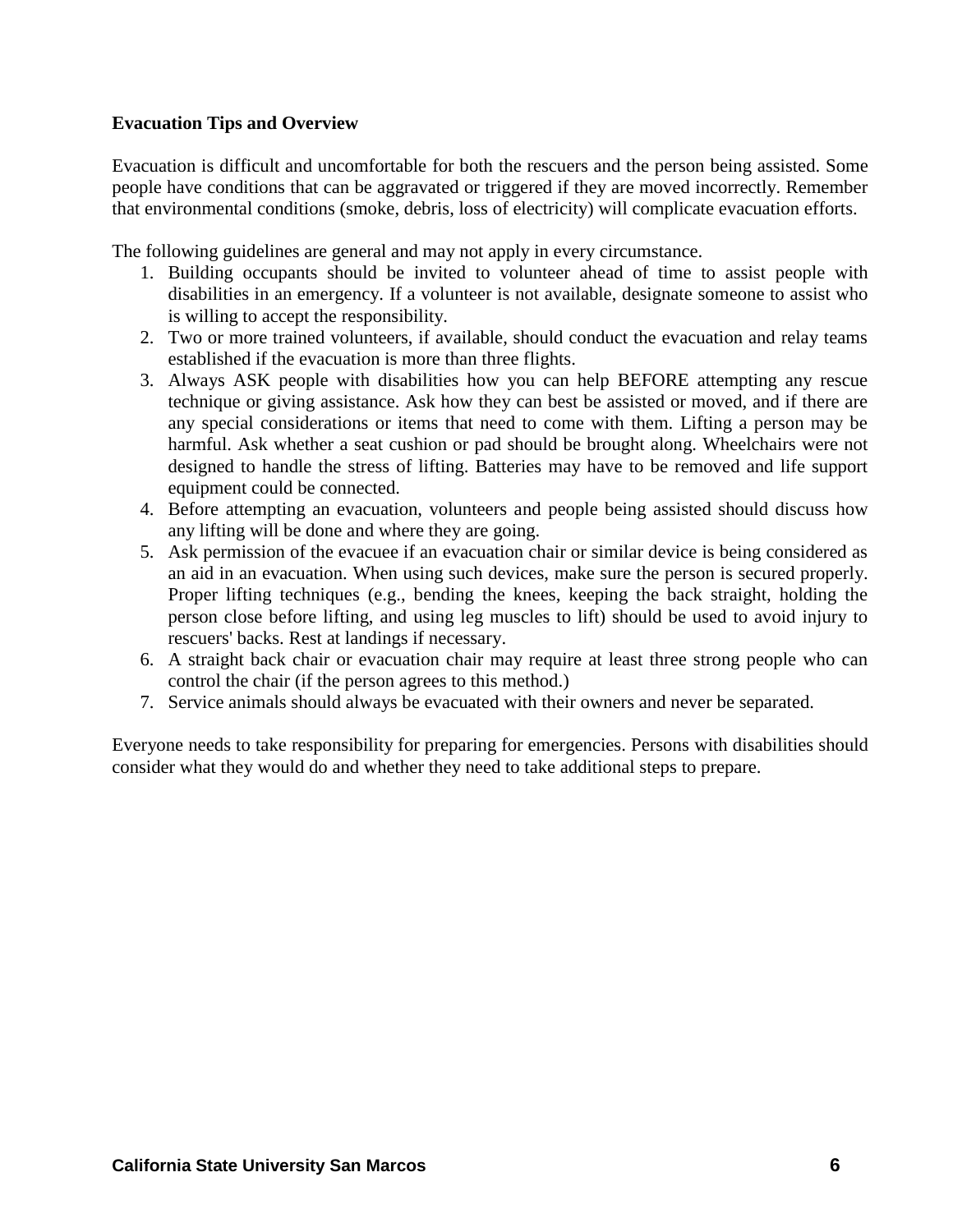#### **Evacuation Tips and Overview**

Evacuation is difficult and uncomfortable for both the rescuers and the person being assisted. Some people have conditions that can be aggravated or triggered if they are moved incorrectly. Remember that environmental conditions (smoke, debris, loss of electricity) will complicate evacuation efforts.

The following guidelines are general and may not apply in every circumstance.

- 1. Building occupants should be invited to volunteer ahead of time to assist people with disabilities in an emergency. If a volunteer is not available, designate someone to assist who is willing to accept the responsibility.
- 2. Two or more trained volunteers, if available, should conduct the evacuation and relay teams established if the evacuation is more than three flights.
- 3. Always ASK people with disabilities how you can help BEFORE attempting any rescue technique or giving assistance. Ask how they can best be assisted or moved, and if there are any special considerations or items that need to come with them. Lifting a person may be harmful. Ask whether a seat cushion or pad should be brought along. Wheelchairs were not designed to handle the stress of lifting. Batteries may have to be removed and life support equipment could be connected.
- 4. Before attempting an evacuation, volunteers and people being assisted should discuss how any lifting will be done and where they are going.
- 5. Ask permission of the evacuee if an evacuation chair or similar device is being considered as an aid in an evacuation. When using such devices, make sure the person is secured properly. Proper lifting techniques (e.g., bending the knees, keeping the back straight, holding the person close before lifting, and using leg muscles to lift) should be used to avoid injury to rescuers' backs. Rest at landings if necessary.
- 6. A straight back chair or evacuation chair may require at least three strong people who can control the chair (if the person agrees to this method.)
- 7. Service animals should always be evacuated with their owners and never be separated.

Everyone needs to take responsibility for preparing for emergencies. Persons with disabilities should consider what they would do and whether they need to take additional steps to prepare.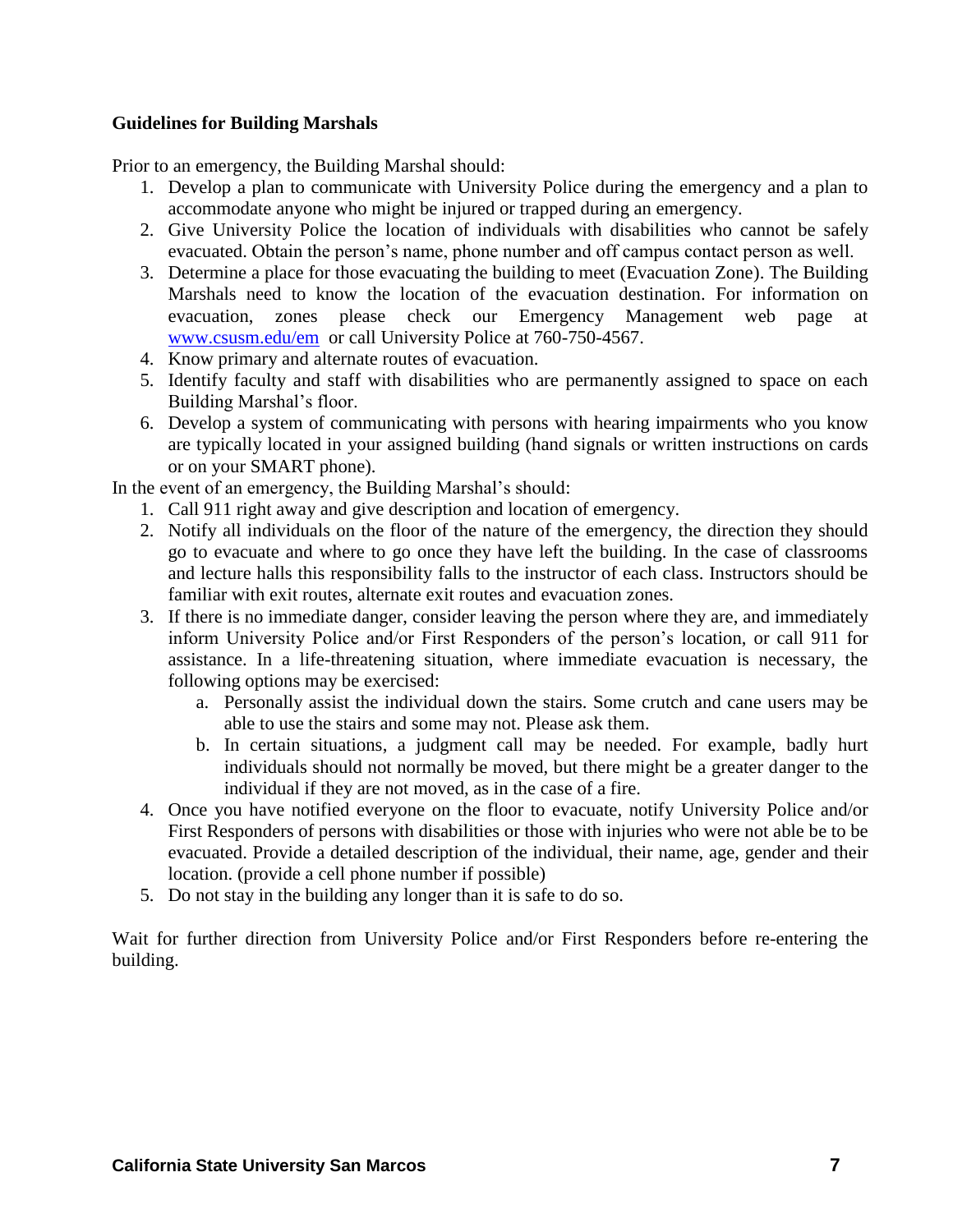#### **Guidelines for Building Marshals**

Prior to an emergency, the Building Marshal should:

- 1. Develop a plan to communicate with University Police during the emergency and a plan to accommodate anyone who might be injured or trapped during an emergency.
- 2. Give University Police the location of individuals with disabilities who cannot be safely evacuated. Obtain the person's name, phone number and off campus contact person as well.
- 3. Determine a place for those evacuating the building to meet (Evacuation Zone). The Building Marshals need to know the location of the evacuation destination. For information on evacuation, zones please check our Emergency Management web page at [www.csusm.edu/em](http://www.csusm.edu/em) or call University Police at 760-750-4567.
- 4. Know primary and alternate routes of evacuation.
- 5. Identify faculty and staff with disabilities who are permanently assigned to space on each Building Marshal's floor.
- 6. Develop a system of communicating with persons with hearing impairments who you know are typically located in your assigned building (hand signals or written instructions on cards or on your SMART phone).

In the event of an emergency, the Building Marshal's should:

- 1. Call 911 right away and give description and location of emergency.
- 2. Notify all individuals on the floor of the nature of the emergency, the direction they should go to evacuate and where to go once they have left the building. In the case of classrooms and lecture halls this responsibility falls to the instructor of each class. Instructors should be familiar with exit routes, alternate exit routes and evacuation zones.
- 3. If there is no immediate danger, consider leaving the person where they are, and immediately inform University Police and/or First Responders of the person's location, or call 911 for assistance. In a life-threatening situation, where immediate evacuation is necessary, the following options may be exercised:
	- a. Personally assist the individual down the stairs. Some crutch and cane users may be able to use the stairs and some may not. Please ask them.
	- b. In certain situations, a judgment call may be needed. For example, badly hurt individuals should not normally be moved, but there might be a greater danger to the individual if they are not moved, as in the case of a fire.
- 4. Once you have notified everyone on the floor to evacuate, notify University Police and/or First Responders of persons with disabilities or those with injuries who were not able be to be evacuated. Provide a detailed description of the individual, their name, age, gender and their location. (provide a cell phone number if possible)
- 5. Do not stay in the building any longer than it is safe to do so.

Wait for further direction from University Police and/or First Responders before re-entering the building.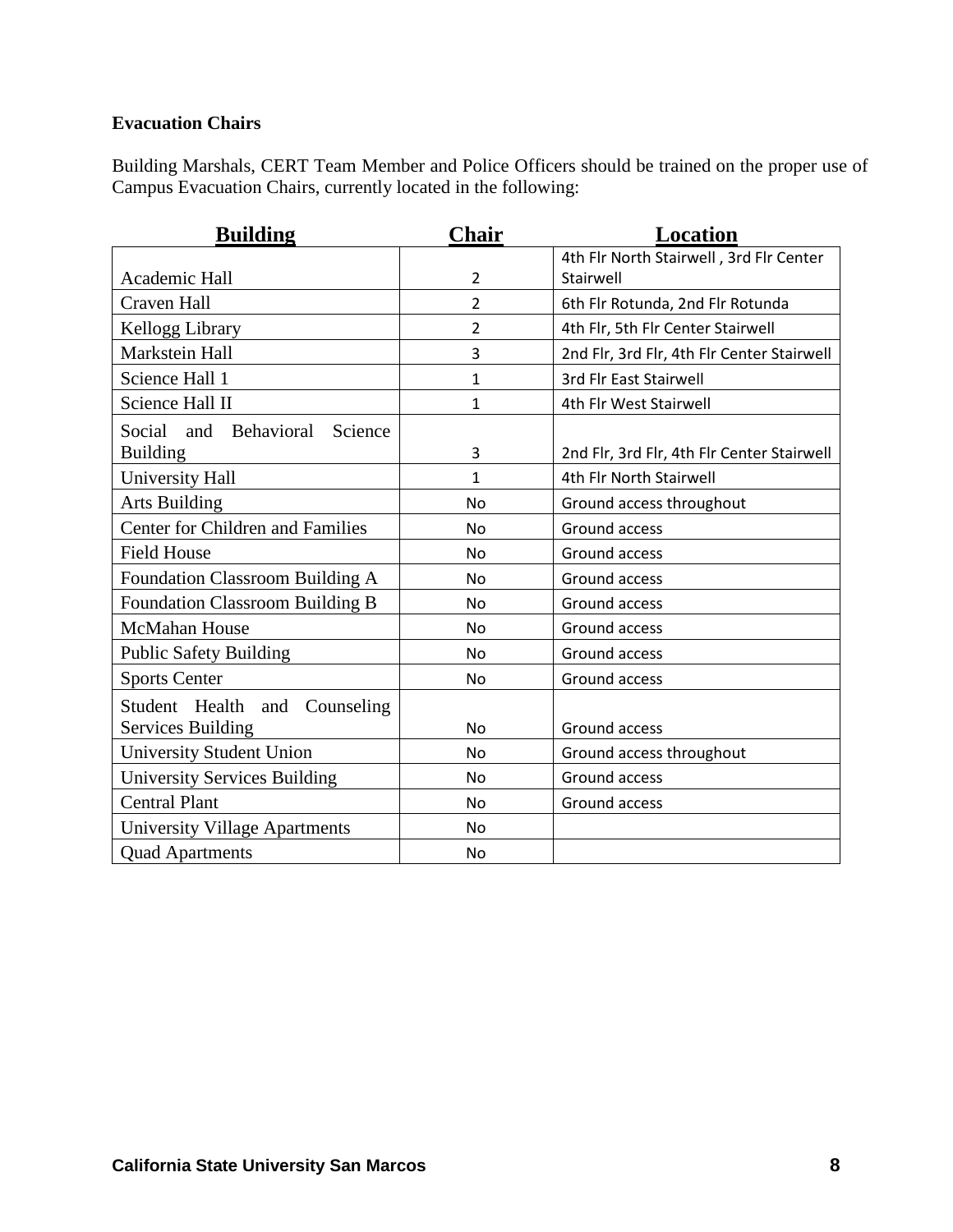#### **Evacuation Chairs**

Building Marshals, CERT Team Member and Police Officers should be trained on the proper use of Campus Evacuation Chairs, currently located in the following:

| <b>Building</b>                         | Chair          | Location                                   |
|-----------------------------------------|----------------|--------------------------------------------|
|                                         |                | 4th Flr North Stairwell, 3rd Flr Center    |
| Academic Hall                           | $\overline{2}$ | Stairwell                                  |
| <b>Craven Hall</b>                      | $\overline{2}$ | 6th Flr Rotunda, 2nd Flr Rotunda           |
| Kellogg Library                         | $\overline{2}$ | 4th Flr, 5th Flr Center Stairwell          |
| Markstein Hall                          | 3              | 2nd Flr, 3rd Flr, 4th Flr Center Stairwell |
| Science Hall 1                          | $\mathbf{1}$   | 3rd Flr East Stairwell                     |
| Science Hall II                         | $\mathbf{1}$   | 4th Flr West Stairwell                     |
| Social<br>and<br>Behavioral<br>Science  |                |                                            |
| <b>Building</b>                         | 3              | 2nd Flr, 3rd Flr, 4th Flr Center Stairwell |
| University Hall                         | 1              | 4th Flr North Stairwell                    |
| <b>Arts Building</b>                    | <b>No</b>      | Ground access throughout                   |
| <b>Center for Children and Families</b> | No             | Ground access                              |
| <b>Field House</b>                      | <b>No</b>      | Ground access                              |
| <b>Foundation Classroom Building A</b>  | No             | Ground access                              |
| <b>Foundation Classroom Building B</b>  | <b>No</b>      | Ground access                              |
| <b>McMahan House</b>                    | <b>No</b>      | Ground access                              |
| <b>Public Safety Building</b>           | <b>No</b>      | Ground access                              |
| <b>Sports Center</b>                    | No             | Ground access                              |
| Student Health and Counseling           |                |                                            |
| <b>Services Building</b>                | <b>No</b>      | Ground access                              |
| <b>University Student Union</b>         | <b>No</b>      | Ground access throughout                   |
| <b>University Services Building</b>     | <b>No</b>      | Ground access                              |
| <b>Central Plant</b>                    | <b>No</b>      | Ground access                              |
| <b>University Village Apartments</b>    | <b>No</b>      |                                            |
| <b>Quad Apartments</b>                  | No             |                                            |